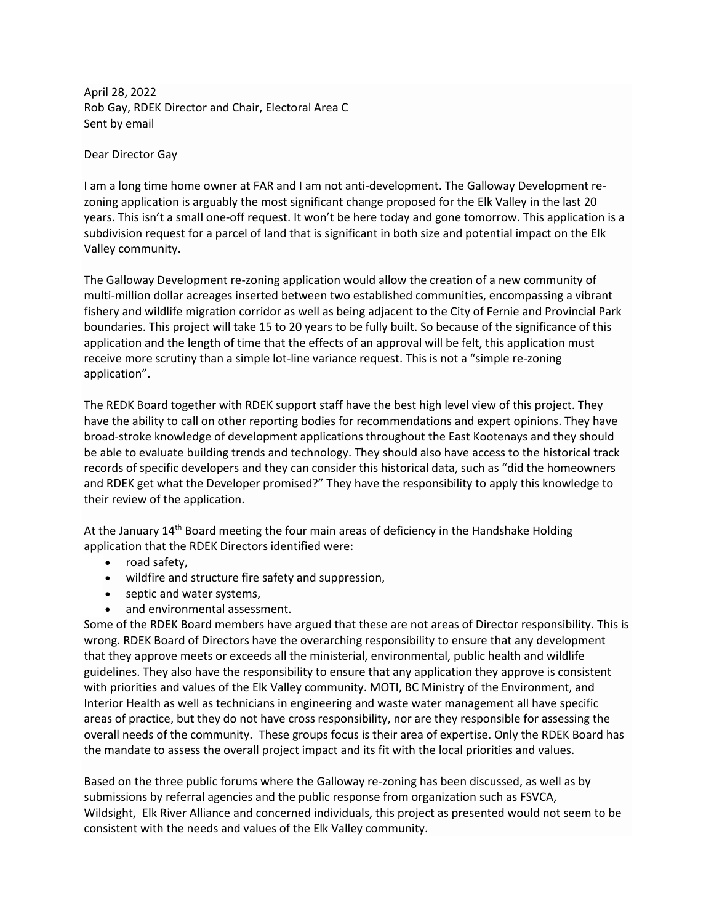April 28, 2022 Rob Gay, RDEK Director and Chair, Electoral Area C Sent by email

Dear Director Gay

I am a long time home owner at FAR and I am not anti-development. The Galloway Development rezoning application is arguably the most significant change proposed for the Elk Valley in the last 20 years. This isn't a small one-off request. It won't be here today and gone tomorrow. This application is a subdivision request for a parcel of land that is significant in both size and potential impact on the Elk Valley community.

The Galloway Development re-zoning application would allow the creation of a new community of multi-million dollar acreages inserted between two established communities, encompassing a vibrant fishery and wildlife migration corridor as well as being adjacent to the City of Fernie and Provincial Park boundaries. This project will take 15 to 20 years to be fully built. So because of the significance of this application and the length of time that the effects of an approval will be felt, this application must receive more scrutiny than a simple lot-line variance request. This is not a "simple re-zoning application".

The REDK Board together with RDEK support staff have the best high level view of this project. They have the ability to call on other reporting bodies for recommendations and expert opinions. They have broad-stroke knowledge of development applications throughout the East Kootenays and they should be able to evaluate building trends and technology. They should also have access to the historical track records of specific developers and they can consider this historical data, such as "did the homeowners and RDEK get what the Developer promised?" They have the responsibility to apply this knowledge to their review of the application.

At the January  $14<sup>th</sup>$  Board meeting the four main areas of deficiency in the Handshake Holding application that the RDEK Directors identified were:

- road safety,
- wildfire and structure fire safety and suppression,
- septic and water systems,
- and environmental assessment.

Some of the RDEK Board members have argued that these are not areas of Director responsibility. This is wrong. RDEK Board of Directors have the overarching responsibility to ensure that any development that they approve meets or exceeds all the ministerial, environmental, public health and wildlife guidelines. They also have the responsibility to ensure that any application they approve is consistent with priorities and values of the Elk Valley community. MOTI, BC Ministry of the Environment, and Interior Health as well as technicians in engineering and waste water management all have specific areas of practice, but they do not have cross responsibility, nor are they responsible for assessing the overall needs of the community. These groups focus is their area of expertise. Only the RDEK Board has the mandate to assess the overall project impact and its fit with the local priorities and values.

Based on the three public forums where the Galloway re-zoning has been discussed, as well as by submissions by referral agencies and the public response from organization such as FSVCA, Wildsight, Elk River Alliance and concerned individuals, this project as presented would not seem to be consistent with the needs and values of the Elk Valley community.